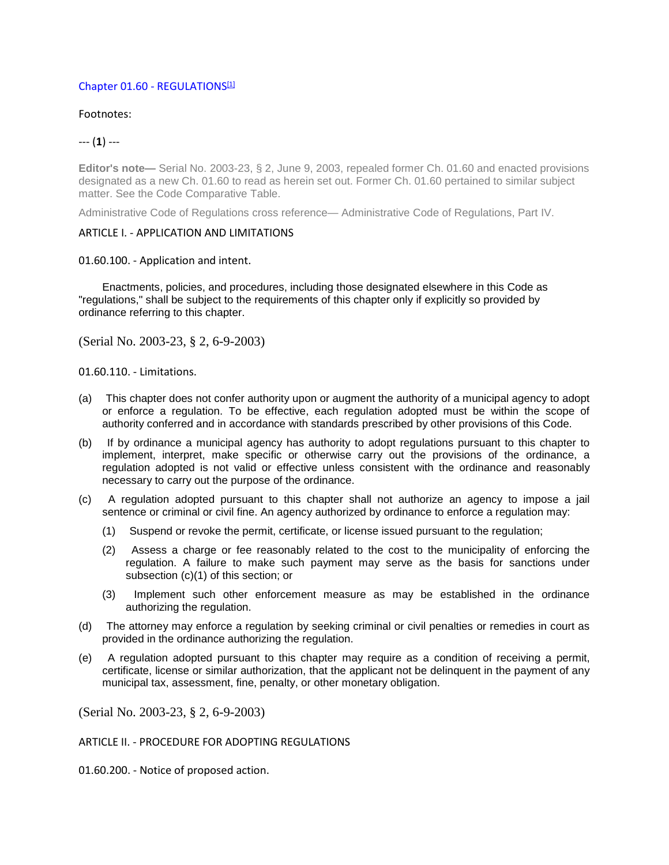# Chapter 01.60 [- REGULATIONS](https://library.municode.com/ak/juneau/codes/code_of_ordinances?nodeId=PTIICOOR_TIT01GEPR_CH01.60RE) [1]

Footnotes:

## --- (**1**) ---

**Editor's note—** Serial No. 2003-23, § 2, June 9, 2003, repealed former Ch. 01.60 and enacted provisions designated as a new Ch. 01.60 to read as herein set out. Former Ch. 01.60 pertained to similar subject matter. See the Code Comparative Table.

Administrative Code of Regulations cross reference— Administrative Code of Regulations, Part IV.

### ARTICLE I. - APPLICATION AND LIMITATIONS

### 01.60.100. - Application and intent.

Enactments, policies, and procedures, including those designated elsewhere in this Code as "regulations," shall be subject to the requirements of this chapter only if explicitly so provided by ordinance referring to this chapter.

(Serial No. 2003-23, § 2, 6-9-2003)

01.60.110. - Limitations.

- (a) This chapter does not confer authority upon or augment the authority of a municipal agency to adopt or enforce a regulation. To be effective, each regulation adopted must be within the scope of authority conferred and in accordance with standards prescribed by other provisions of this Code.
- (b) If by ordinance a municipal agency has authority to adopt regulations pursuant to this chapter to implement, interpret, make specific or otherwise carry out the provisions of the ordinance, a regulation adopted is not valid or effective unless consistent with the ordinance and reasonably necessary to carry out the purpose of the ordinance.
- (c) A regulation adopted pursuant to this chapter shall not authorize an agency to impose a jail sentence or criminal or civil fine. An agency authorized by ordinance to enforce a regulation may:
	- (1) Suspend or revoke the permit, certificate, or license issued pursuant to the regulation;
	- (2) Assess a charge or fee reasonably related to the cost to the municipality of enforcing the regulation. A failure to make such payment may serve as the basis for sanctions under subsection (c)(1) of this section; or
	- (3) Implement such other enforcement measure as may be established in the ordinance authorizing the regulation.
- (d) The attorney may enforce a regulation by seeking criminal or civil penalties or remedies in court as provided in the ordinance authorizing the regulation.
- (e) A regulation adopted pursuant to this chapter may require as a condition of receiving a permit, certificate, license or similar authorization, that the applicant not be delinquent in the payment of any municipal tax, assessment, fine, penalty, or other monetary obligation.

(Serial No. 2003-23, § 2, 6-9-2003)

### ARTICLE II. - PROCEDURE FOR ADOPTING REGULATIONS

01.60.200. - Notice of proposed action.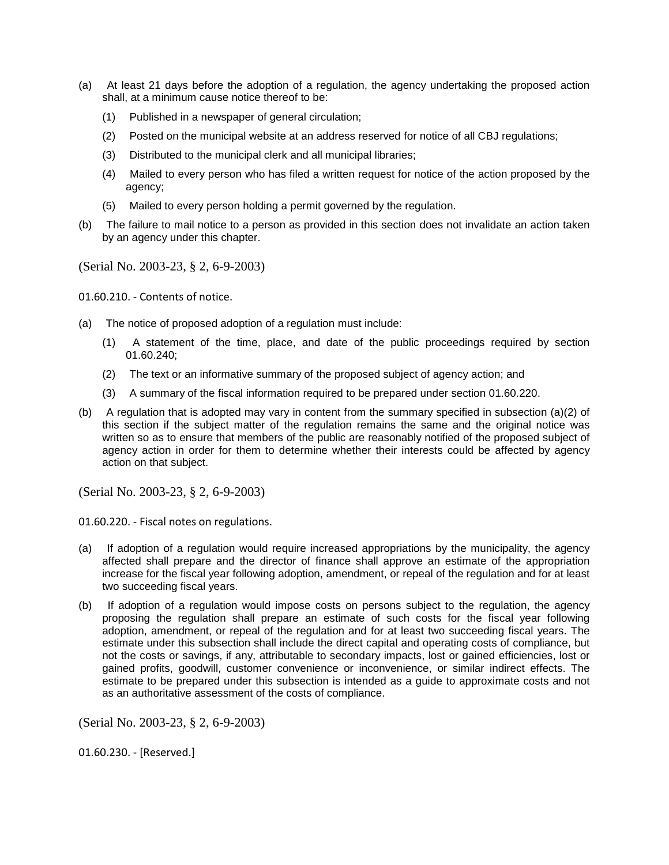- (a) At least 21 days before the adoption of a regulation, the agency undertaking the proposed action shall, at a minimum cause notice thereof to be:
	- (1) Published in a newspaper of general circulation;
	- (2) Posted on the municipal website at an address reserved for notice of all CBJ regulations;
	- (3) Distributed to the municipal clerk and all municipal libraries;
	- (4) Mailed to every person who has filed a written request for notice of the action proposed by the agency;
	- (5) Mailed to every person holding a permit governed by the regulation.
- (b) The failure to mail notice to a person as provided in this section does not invalidate an action taken by an agency under this chapter.

01.60.210. - Contents of notice.

- (a) The notice of proposed adoption of a regulation must include:
	- (1) A statement of the time, place, and date of the public proceedings required by section 01.60.240;
	- (2) The text or an informative summary of the proposed subject of agency action; and
	- (3) A summary of the fiscal information required to be prepared under section 01.60.220.
- (b) A regulation that is adopted may vary in content from the summary specified in subsection (a)(2) of this section if the subject matter of the regulation remains the same and the original notice was written so as to ensure that members of the public are reasonably notified of the proposed subject of agency action in order for them to determine whether their interests could be affected by agency action on that subject.

(Serial No. 2003-23, § 2, 6-9-2003)

01.60.220. - Fiscal notes on regulations.

- (a) If adoption of a regulation would require increased appropriations by the municipality, the agency affected shall prepare and the director of finance shall approve an estimate of the appropriation increase for the fiscal year following adoption, amendment, or repeal of the regulation and for at least two succeeding fiscal years.
- (b) If adoption of a regulation would impose costs on persons subject to the regulation, the agency proposing the regulation shall prepare an estimate of such costs for the fiscal year following adoption, amendment, or repeal of the regulation and for at least two succeeding fiscal years. The estimate under this subsection shall include the direct capital and operating costs of compliance, but not the costs or savings, if any, attributable to secondary impacts, lost or gained efficiencies, lost or gained profits, goodwill, customer convenience or inconvenience, or similar indirect effects. The estimate to be prepared under this subsection is intended as a guide to approximate costs and not as an authoritative assessment of the costs of compliance.

(Serial No. 2003-23, § 2, 6-9-2003)

01.60.230. - [Reserved.]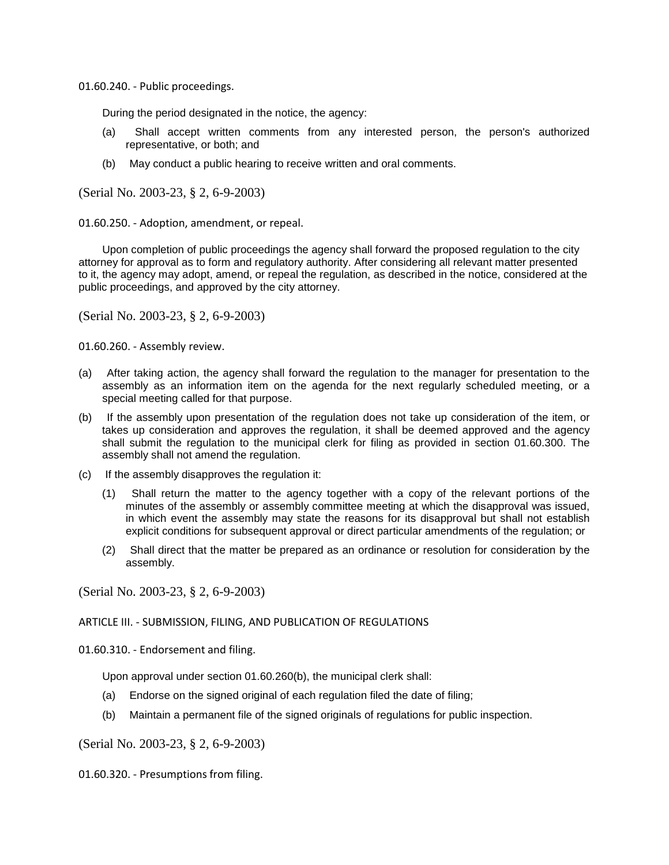01.60.240. - Public proceedings.

During the period designated in the notice, the agency:

- (a) Shall accept written comments from any interested person, the person's authorized representative, or both; and
- (b) May conduct a public hearing to receive written and oral comments.

(Serial No. 2003-23, § 2, 6-9-2003)

01.60.250. - Adoption, amendment, or repeal.

Upon completion of public proceedings the agency shall forward the proposed regulation to the city attorney for approval as to form and regulatory authority. After considering all relevant matter presented to it, the agency may adopt, amend, or repeal the regulation, as described in the notice, considered at the public proceedings, and approved by the city attorney.

(Serial No. 2003-23, § 2, 6-9-2003)

01.60.260. - Assembly review.

- (a) After taking action, the agency shall forward the regulation to the manager for presentation to the assembly as an information item on the agenda for the next regularly scheduled meeting, or a special meeting called for that purpose.
- (b) If the assembly upon presentation of the regulation does not take up consideration of the item, or takes up consideration and approves the regulation, it shall be deemed approved and the agency shall submit the regulation to the municipal clerk for filing as provided in section 01.60.300. The assembly shall not amend the regulation.
- (c) If the assembly disapproves the regulation it:
	- (1) Shall return the matter to the agency together with a copy of the relevant portions of the minutes of the assembly or assembly committee meeting at which the disapproval was issued, in which event the assembly may state the reasons for its disapproval but shall not establish explicit conditions for subsequent approval or direct particular amendments of the regulation; or
	- (2) Shall direct that the matter be prepared as an ordinance or resolution for consideration by the assembly.

(Serial No. 2003-23, § 2, 6-9-2003)

### ARTICLE III. - SUBMISSION, FILING, AND PUBLICATION OF REGULATIONS

01.60.310. - Endorsement and filing.

Upon approval under section 01.60.260(b), the municipal clerk shall:

- (a) Endorse on the signed original of each regulation filed the date of filing;
- (b) Maintain a permanent file of the signed originals of regulations for public inspection.

(Serial No. 2003-23, § 2, 6-9-2003)

01.60.320. - Presumptions from filing.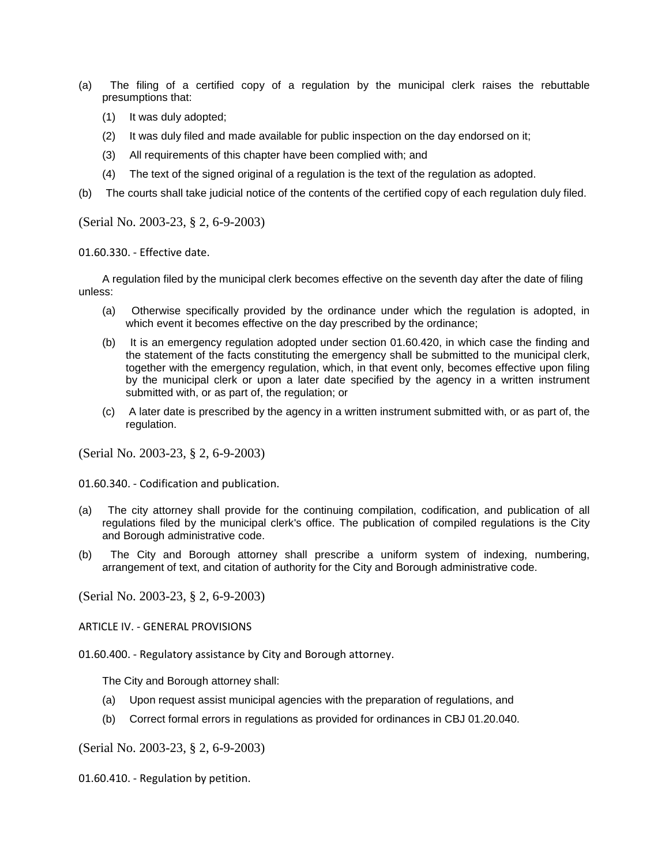- (a) The filing of a certified copy of a regulation by the municipal clerk raises the rebuttable presumptions that:
	- (1) It was duly adopted;
	- (2) It was duly filed and made available for public inspection on the day endorsed on it;
	- (3) All requirements of this chapter have been complied with; and
	- (4) The text of the signed original of a regulation is the text of the regulation as adopted.
- (b) The courts shall take judicial notice of the contents of the certified copy of each regulation duly filed.

01.60.330. - Effective date.

A regulation filed by the municipal clerk becomes effective on the seventh day after the date of filing unless:

- (a) Otherwise specifically provided by the ordinance under which the regulation is adopted, in which event it becomes effective on the day prescribed by the ordinance;
- (b) It is an emergency regulation adopted under section 01.60.420, in which case the finding and the statement of the facts constituting the emergency shall be submitted to the municipal clerk, together with the emergency regulation, which, in that event only, becomes effective upon filing by the municipal clerk or upon a later date specified by the agency in a written instrument submitted with, or as part of, the regulation; or
- (c) A later date is prescribed by the agency in a written instrument submitted with, or as part of, the regulation.

(Serial No. 2003-23, § 2, 6-9-2003)

01.60.340. - Codification and publication.

- (a) The city attorney shall provide for the continuing compilation, codification, and publication of all regulations filed by the municipal clerk's office. The publication of compiled regulations is the City and Borough administrative code.
- (b) The City and Borough attorney shall prescribe a uniform system of indexing, numbering, arrangement of text, and citation of authority for the City and Borough administrative code.

(Serial No. 2003-23, § 2, 6-9-2003)

ARTICLE IV. - GENERAL PROVISIONS

01.60.400. - Regulatory assistance by City and Borough attorney.

The City and Borough attorney shall:

- (a) Upon request assist municipal agencies with the preparation of regulations, and
- (b) Correct formal errors in regulations as provided for ordinances in CBJ 01.20.040.

(Serial No. 2003-23, § 2, 6-9-2003)

01.60.410. - Regulation by petition.